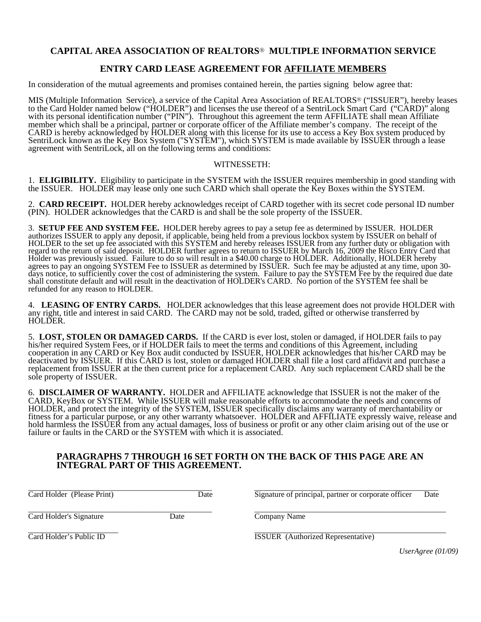## **CAPITAL AREA ASSOCIATION OF REALTORS**® **MULTIPLE INFORMATION SERVICE**

# **ENTRY CARD LEASE AGREEMENT FOR AFFILIATE MEMBERS**

In consideration of the mutual agreements and promises contained herein, the parties signing below agree that:

MIS (Multiple Information Service), a service of the Capital Area Association of REALTORS® ("ISSUER"), hereby leases to the Card Holder named below ("HOLDER") and licenses the use thereof of a SentriLock Smart Card ("CARD)" along with its personal identification number ("PIN"). Throughout this agreement the term AFFILIATE shall mean Affiliate member which shall be a principal, partner or corporate officer of the Affiliate member's company. The receipt of the CARD is hereby acknowledged by HOLDER along with this license for its use to access a Key Box system produced by SentriLock known as the Key Box System ("SYSTEM"), which SYSTEM is made available by ISSUER through a lease agreement with SentriLock, all on the following terms and conditions:

### WITNESSETH:

1. **ELIGIBILITY.** Eligibility to participate in the SYSTEM with the ISSUER requires membership in good standing with the ISSUER. HOLDER may lease only one such CARD which shall operate the Key Boxes within the SYSTEM.

2. **CARD RECEIPT.** HOLDER hereby acknowledges receipt of CARD together with its secret code personal ID number (PIN). HOLDER acknowledges that the CARD is and shall be the sole property of the ISSUER.

3. **SETUP FEE AND SYSTEM FEE.** HOLDER hereby agrees to pay a setup fee as determined by ISSUER. HOLDER authorizes ISSUER to apply any deposit, if applicable, being held from a previous lockbox system by ISSUER on behalf of HOLDER to the set up fee associated with this SYSTEM and hereby releases ISSUER from any further duty or obligation with regard to the return of said deposit. HOLDER further agrees to return to ISSUER by March 16, 2009 the Risco Entry Card that Holder was previously issued. Failure to do so will result in a \$40.00 charge to HOLDER.Additionally, HOLDER hereby agrees to pay an ongoing SYSTEM Fee to ISSUER as determined by ISSUER. Such fee may be adjusted at any time, upon 30 days notice, to sufficiently cover the cost of administering the system. Failure to pay the SYSTEM Fee by the required due date shall constitute default and will result in the deactivation of HOLDER's CARD. No portion of the SYSTEM fee shall be refunded for any reason to HOLDER.

4. **LEASING OF ENTRY CARDS.** HOLDER acknowledges that this lease agreement does not provide HOLDER with any right, title and interest in said CARD. The CARD may not be sold, traded, gifted or otherwise transferred by HOLDER.

5. **LOST, STOLEN OR DAMAGED CARDS.** If the CARD is ever lost, stolen or damaged, if HOLDER fails to pay his/her required System Fees, or if HOLDER fails to meet the terms and conditions of this Agreement, including cooperation in any CARD or Key Box audit conducted by ISSUER, HOLDER acknowledges that his/her CARD may be deactivated by ISSUER. If this CARD is lost, stolen or damaged HOLDER shall file a lost card affidavit and purchase a replacement from ISSUER at the then current price for a replacement CARD. Any such replacement CARD shall be the sole property of ISSUER.

6. **DISCLAIMER OF WARRANTY.** HOLDER and AFFILIATE acknowledge that ISSUER is not the maker of the CARD, KeyBox or SYSTEM. While ISSUER will make reasonable efforts to accommodate the needs and concerns of HOLDER, and protect the integrity of the SYSTEM, ISSUER specifically disclaims any warranty of merchantability or fitness for a particular purpose, or any other warranty whatsoever. HOLDER and AFFILIATE expressly waive, release and hold harmless the ISSUER from any actual damages, loss of business or profit or any other claim arising out of the use or failure or faults in the CARD or the SYSTEM with which it is associated.

### **PARAGRAPHS 7 THROUGH 16 SET FORTH ON THE BACK OF THIS PAGE ARE AN INTEGRAL PART OF THIS AGREEMENT.**

\_\_\_\_\_\_\_\_\_\_\_\_\_\_\_\_\_\_\_\_\_\_\_\_\_\_\_\_\_\_\_\_\_\_\_\_\_\_\_\_\_\_\_\_\_\_\_ \_\_\_\_\_\_\_\_\_\_\_\_\_\_\_\_\_\_\_\_\_\_\_\_\_\_\_\_\_\_\_\_\_\_\_\_\_\_\_\_\_\_\_\_\_\_\_ Card Holder (Please Print) Date Signature of principal, partner or corporate officer Date

\_\_\_\_\_\_\_\_\_\_\_\_\_\_\_\_\_\_\_\_\_\_\_\_\_\_\_\_\_\_\_\_\_\_\_\_\_\_\_\_\_\_\_\_\_\_\_ \_\_\_\_\_\_\_\_\_\_\_\_\_\_\_\_\_\_\_\_\_\_\_\_\_\_\_\_\_\_\_\_\_\_\_\_\_\_\_\_\_\_\_\_\_\_\_\_\_ Card Holder's Signature Date Company Name

\_\_\_\_\_\_\_\_\_\_\_\_\_\_\_\_\_\_\_\_\_\_\_ \_\_\_\_\_\_\_\_\_\_\_\_\_\_\_\_\_\_\_\_\_\_\_\_\_\_\_\_\_\_\_\_\_\_\_\_\_\_\_\_\_\_\_\_\_\_\_\_\_ Card Holder's Public ID **ISSUER** (Authorized Representative)

*UserAgree (01/09)*